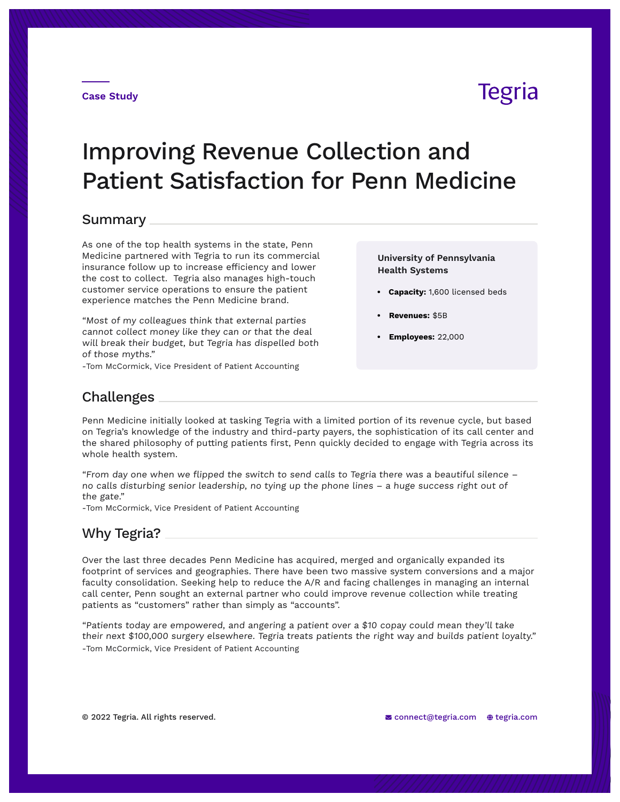## **Tegria**

# Improving Revenue Collection and Patient Satisfaction for Penn Medicine

#### Summary

As one of the top health systems in the state, Penn Medicine partnered with Tegria to run its commercial insurance follow up to increase efficiency and lower the cost to collect. Tegria also manages high-touch customer service operations to ensure the patient experience matches the Penn Medicine brand.

"Most of my colleagues think that external parties cannot collect money like they can or that the deal will break their budget, but Tegria has dispelled both of those myths."

-Tom McCormick, Vice President of Patient Accounting

**University of Pennsylvania Health Systems**

- **• Capacity:** 1,600 licensed beds
- **• Revenues:** \$5B
- **• Employees:** 22,000

### Challenges

Penn Medicine initially looked at tasking Tegria with a limited portion of its revenue cycle, but based on Tegria's knowledge of the industry and third-party payers, the sophistication of its call center and the shared philosophy of putting patients first, Penn quickly decided to engage with Tegria across its whole health system.

"From day one when we flipped the switch to send calls to Tegria there was a beautiful silence – no calls disturbing senior leadership, no tying up the phone lines – a huge success right out of the gate."

-Tom McCormick, Vice President of Patient Accounting

#### Why Tegria?

Over the last three decades Penn Medicine has acquired, merged and organically expanded its footprint of services and geographies. There have been two massive system conversions and a major faculty consolidation. Seeking help to reduce the A/R and facing challenges in managing an internal call center, Penn sought an external partner who could improve revenue collection while treating patients as "customers" rather than simply as "accounts".

"Patients today are empowered, and angering a patient over a \$10 copay could mean they'll take their next \$100,000 surgery elsewhere. Tegria treats patients the right way and builds patient loyalty." -Tom McCormick, Vice President of Patient Accounting